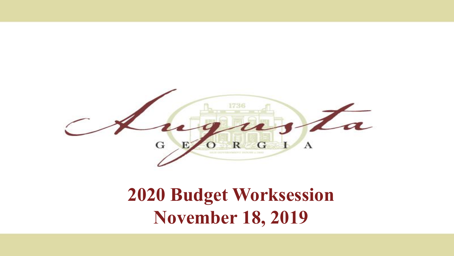

#### **2020 Budget Worksession November 18, 2019**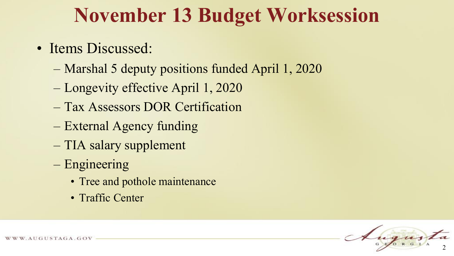### **November 13 Budget Worksession**

- Items Discussed:
	- Marshal 5 deputy positions funded April 1, 2020
	- Longevity effective April 1, 2020
	- Tax Assessors DOR Certification
	- External Agency funding
	- TIA salary supplement
	- Engineering
		- Tree and pothole maintenance
		- Traffic Center

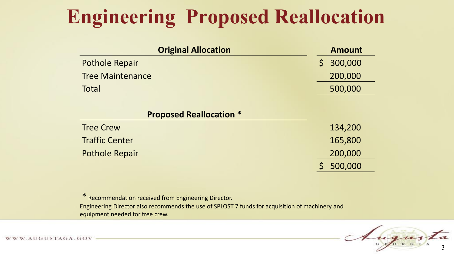# **Engineering Proposed Reallocation**

| <b>Original Allocation</b>     | <b>Amount</b>           |
|--------------------------------|-------------------------|
| <b>Pothole Repair</b>          | 300,000<br>$\mathsf{S}$ |
| <b>Tree Maintenance</b>        | 200,000                 |
| Total                          | 500,000                 |
|                                |                         |
| <b>Proposed Reallocation *</b> |                         |
| <b>Tree Crew</b>               | 134,200                 |
| <b>Traffic Center</b>          | 165,800                 |
| <b>Pothole Repair</b>          | 200,000                 |
|                                | 500,000                 |

\* Recommendation received from Engineering Director. Engineering Director also recommends the use of SPLOST 7 funds for acquisition of machinery and equipment needed for tree crew.

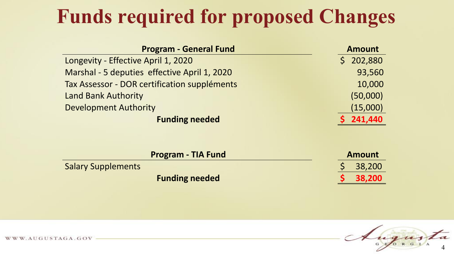## **Funds required for proposed Changes**

| <b>Program - General Fund</b>                | <b>Amount</b> |
|----------------------------------------------|---------------|
| Longevity - Effective April 1, 2020          | \$202,880     |
| Marshal - 5 deputies effective April 1, 2020 | 93,560        |
| Tax Assessor - DOR certification suppléments | 10,000        |
| <b>Land Bank Authority</b>                   | (50,000)      |
| <b>Development Authority</b>                 | (15,000)      |
| <b>Funding needed</b>                        | 241,440       |

|                           | <b>Program - TIA Fund</b> | <b>Amount</b> |
|---------------------------|---------------------------|---------------|
| <b>Salary Supplements</b> |                           | \$38,200      |
|                           | <b>Funding needed</b>     | \$38,200      |



WWW.AUGUSTAGA.GOV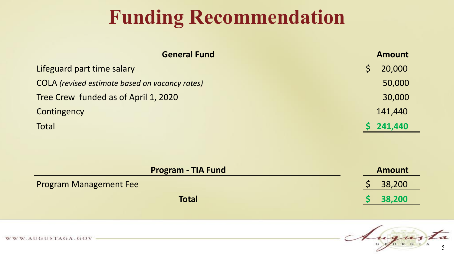## **Funding Recommendation**

| <b>General Fund</b>                            | <b>Amount</b> |  |
|------------------------------------------------|---------------|--|
| Lifeguard part time salary                     | 20,000        |  |
| COLA (revised estimate based on vacancy rates) | 50,000        |  |
| Tree Crew funded as of April 1, 2020           | 30,000        |  |
| Contingency                                    | 141,440       |  |
| Total                                          | 241,440       |  |

| <b>Program - TIA Fund</b>     | <b>Amount</b> |
|-------------------------------|---------------|
| <b>Program Management Fee</b> | $5$ 38,200    |
| <b>Total</b>                  | 38,200        |



WWW.AUGUSTAGA.GOV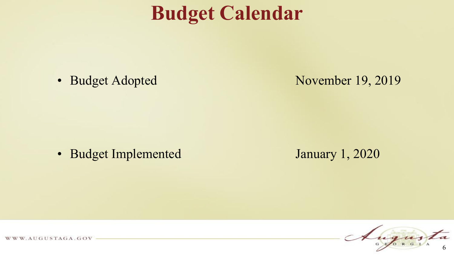### **Budget Calendar**

• Budget Adopted November 19, 2019

• Budget Implemented January 1, 2020



WWW.AUGUSTAGA.GOV